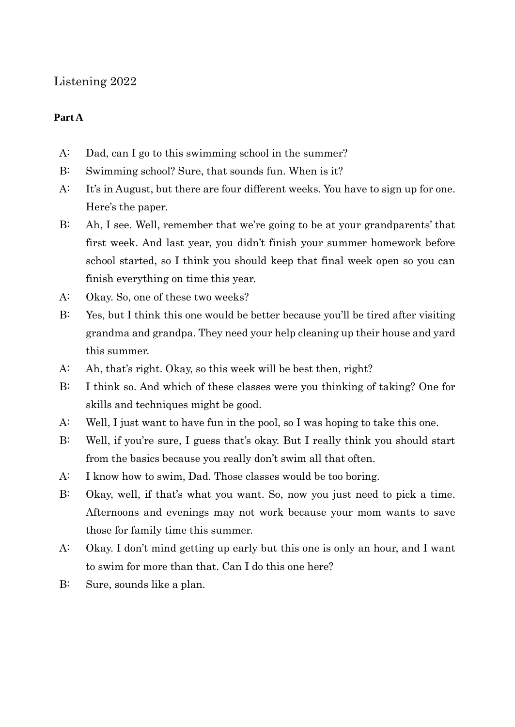## Listening 2022

## **Part A**

- A: Dad, can I go to this swimming school in the summer?
- B: Swimming school? Sure, that sounds fun. When is it?
- A: It's in August, but there are four different weeks. You have to sign up for one. Here's the paper.
- B: Ah, I see. Well, remember that we're going to be at your grandparents' that first week. And last year, you didn't finish your summer homework before school started, so I think you should keep that final week open so you can finish everything on time this year.
- A: Okay. So, one of these two weeks?
- B: Yes, but I think this one would be better because you'll be tired after visiting grandma and grandpa. They need your help cleaning up their house and yard this summer.
- A: Ah, that's right. Okay, so this week will be best then, right?
- B: I think so. And which of these classes were you thinking of taking? One for skills and techniques might be good.
- A: Well, I just want to have fun in the pool, so I was hoping to take this one.
- B: Well, if you're sure, I guess that's okay. But I really think you should start from the basics because you really don't swim all that often.
- A: I know how to swim, Dad. Those classes would be too boring.
- B: Okay, well, if that's what you want. So, now you just need to pick a time. Afternoons and evenings may not work because your mom wants to save those for family time this summer.
- A: Okay. I don't mind getting up early but this one is only an hour, and I want to swim for more than that. Can I do this one here?
- B: Sure, sounds like a plan.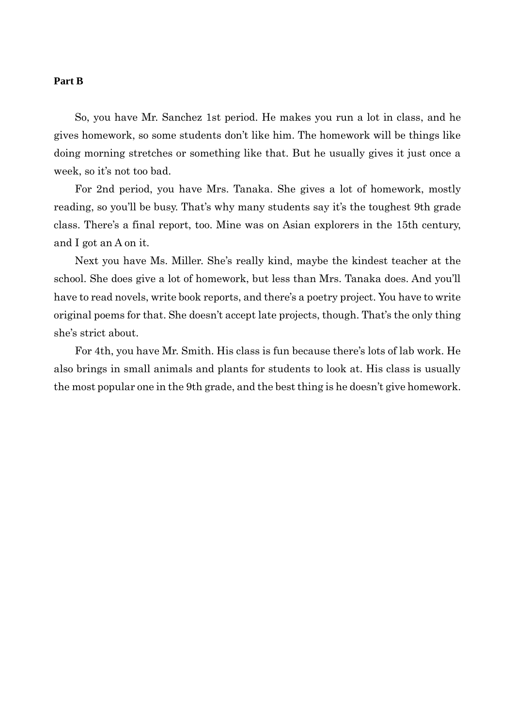## **Part B**

So, you have Mr. Sanchez 1st period. He makes you run a lot in class, and he gives homework, so some students don't like him. The homework will be things like doing morning stretches or something like that. But he usually gives it just once a week, so it's not too bad.

For 2nd period, you have Mrs. Tanaka. She gives a lot of homework, mostly reading, so you'll be busy. That's why many students say it's the toughest 9th grade class. There's a final report, too. Mine was on Asian explorers in the 15th century, and I got an A on it.

Next you have Ms. Miller. She's really kind, maybe the kindest teacher at the school. She does give a lot of homework, but less than Mrs. Tanaka does. And you'll have to read novels, write book reports, and there's a poetry project. You have to write original poems for that. She doesn't accept late projects, though. That's the only thing she's strict about.

For 4th, you have Mr. Smith. His class is fun because there's lots of lab work. He also brings in small animals and plants for students to look at. His class is usually the most popular one in the 9th grade, and the best thing is he doesn't give homework.